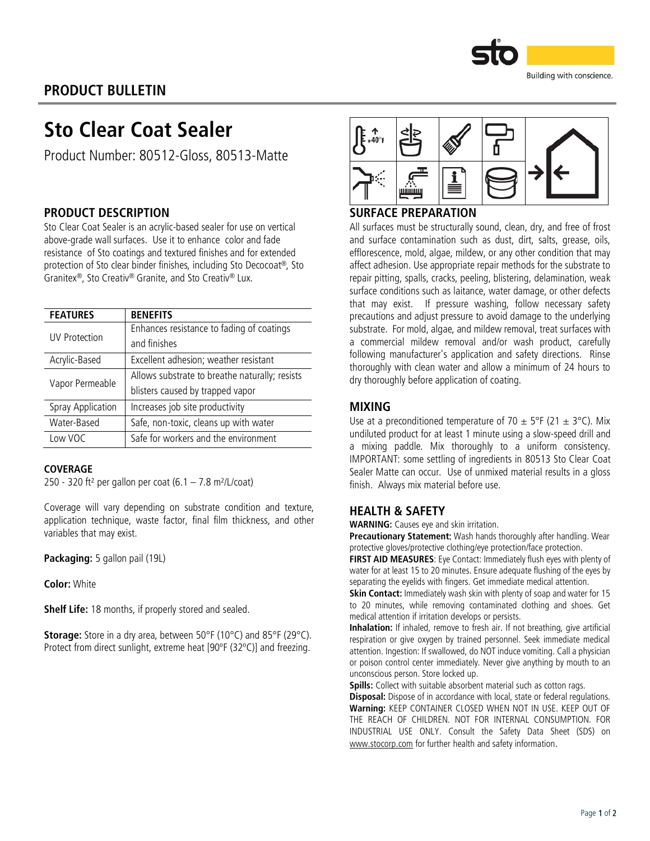

## PRODUCT BULLETIN

## Sto Clear Coat Sealer

Product Number: 80512-Gloss, 80513-Matte

## PRODUCT DESCRIPTION

Sto Clear Coat Sealer is an acrylic-based sealer for use on vertical above-grade wall surfaces. Use it to enhance color and fade resistance of Sto coatings and textured finishes and for extended protection of Sto clear binder finishes, including Sto Decocoat®, Sto Granitex®, Sto Creativ® Granite, and Sto Creativ® Lux.

| <b>FEATURES</b>   | <b>BENEFITS</b>                                |  |  |
|-------------------|------------------------------------------------|--|--|
| UV Protection     | Enhances resistance to fading of coatings      |  |  |
|                   | and finishes                                   |  |  |
| Acrylic-Based     | Excellent adhesion; weather resistant          |  |  |
| Vapor Permeable   | Allows substrate to breathe naturally; resists |  |  |
|                   | blisters caused by trapped vapor               |  |  |
| Spray Application | Increases job site productivity                |  |  |
| Water-Based       | Safe, non-toxic, cleans up with water          |  |  |
| Low VOC           | Safe for workers and the environment           |  |  |

#### COVERAGE

250 - 320 ft<sup>2</sup> per gallon per coat  $(6.1 - 7.8 \text{ m}^2/\text{L/c}$ oat)

Coverage will vary depending on substrate condition and texture, application technique, waste factor, final film thickness, and other variables that may exist.

Packaging: 5 gallon pail (19L)

Color: White

Shelf Life: 18 months, if properly stored and sealed.

Storage: Store in a dry area, between 50°F (10°C) and 85°F (29°C). Protect from direct sunlight, extreme heat [90ºF (32ºC)] and freezing.



## SURFACE PREPARATION

All surfaces must be structurally sound, clean, dry, and free of frost and surface contamination such as dust, dirt, salts, grease, oils, efflorescence, mold, algae, mildew, or any other condition that may affect adhesion. Use appropriate repair methods for the substrate to repair pitting, spalls, cracks, peeling, blistering, delamination, weak surface conditions such as laitance, water damage, or other defects that may exist. If pressure washing, follow necessary safety precautions and adjust pressure to avoid damage to the underlying substrate. For mold, algae, and mildew removal, treat surfaces with a commercial mildew removal and/or wash product, carefully following manufacturer's application and safety directions. Rinse thoroughly with clean water and allow a minimum of 24 hours to dry thoroughly before application of coating.

### MIXING

Use at a preconditioned temperature of 70  $\pm$  5°F (21  $\pm$  3°C). Mix undiluted product for at least 1 minute using a slow-speed drill and a mixing paddle. Mix thoroughly to a uniform consistency. IMPORTANT: some settling of ingredients in 80513 Sto Clear Coat Sealer Matte can occur. Use of unmixed material results in a gloss finish. Always mix material before use.

### HEALTH & SAFETY

WARNING: Causes eye and skin irritation.

Precautionary Statement: Wash hands thoroughly after handling. Wear protective gloves/protective clothing/eye protection/face protection.

FIRST AID MEASURES: Eye Contact: Immediately flush eyes with plenty of water for at least 15 to 20 minutes. Ensure adequate flushing of the eyes by separating the eyelids with fingers. Get immediate medical attention.

Skin Contact: Immediately wash skin with plenty of soap and water for 15 to 20 minutes, while removing contaminated clothing and shoes. Get medical attention if irritation develops or persists.

Inhalation: If inhaled, remove to fresh air. If not breathing, give artificial respiration or give oxygen by trained personnel. Seek immediate medical attention. Ingestion: If swallowed, do NOT induce vomiting. Call a physician or poison control center immediately. Never give anything by mouth to an unconscious person. Store locked up.

Spills: Collect with suitable absorbent material such as cotton rags.

Disposal: Dispose of in accordance with local, state or federal regulations. Warning: KEEP CONTAINER CLOSED WHEN NOT IN USE. KEEP OUT OF THE REACH OF CHILDREN. NOT FOR INTERNAL CONSUMPTION. FOR INDUSTRIAL USE ONLY. Consult the Safety Data Sheet (SDS) on [www.stocorp.com](http://www.stocorp.com/) for further health and safety information.